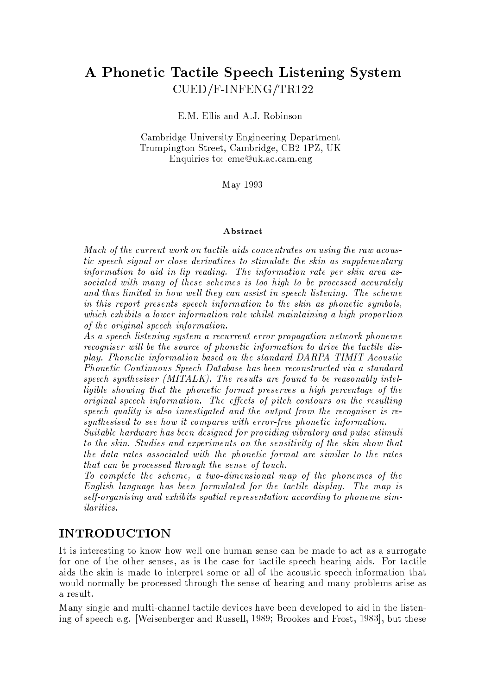# A Phonetic Tactile Speech Listening System CUED/F-INFENG/TR122

E.M. Ellis and A.J. Robinson

Cambridge University Engineering Department Trumpington Street, Cambridge, CB2 1PZ, UK Enquiries to: eme@uk.ac.cam.eng

May 1993

#### Abstract

Much of the current work on tactile aids concentrates on using the raw acoustic speech signal or close derivatives to stimulate the skin as supplementary information to aid in lip reading. The information rate per skin area associated with many of these schemes is too high to be processed accurately and thus limited in how well they can assist in speech listening. The scheme in this report presents speech information to the skin as phonetic symbols. which exhibits a lower information rate whilst maintaining a high proportion of the original speech information.

As a speech listening system a recurrent error propagation network phoneme recogniser will be the source of phonetic information to drive the tactile display. Phonetic information based on the standard DARPA TIMIT Acoustic Phonetic Continuous Speech Database has been reconstructed via a standard speech synthesiser (MITALK). The results are found to be reasonably intelligible showing that the phonetic format preserves a high percentage of the original speech information. The effects of pitch contours on the resulting speech quality is also investigated and the output from the recogniser is resynthesised to see how it compares with error-free phonetic information.

Suitable hardware has been designed for providing vibratory and pulse stimuli to the skin. Studies and experiments on the sensitivity of the skin show that the data rates associated with the phonetic format are similar to the rates that can be processed through the sense of touch.

To complete the scheme, a two-dimensional map of the phonemes of the English language has been formulated for the tactile display. The map is self-organising and exhibits spatial representation according to phoneme sim*ilarities.* 

### **INTRODUCTION**

It is interesting to know how well one human sense can be made to act as a surrogate for one of the other senses, as is the case for tactile speech hearing aids. For tactile aids the skin is made to interpret some or all of the acoustic speech information that would normally be processed through the sense of hearing and many problems arise as a result.

Many single and multi-channel tactile devices have been developed to aid in the listening of speech e.g. [Weisenberger and Russell, 1989; Brookes and Frost, 1983], but these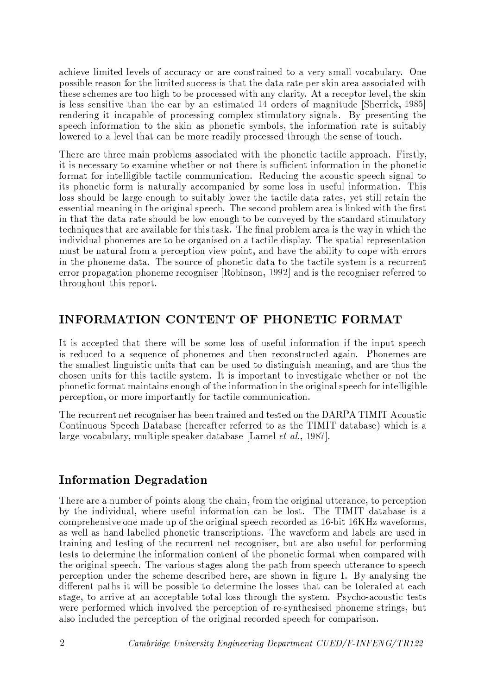achieve limited levels of accuracy or are constrained to a very small vocabulary. One possible reason for the limited success is that the data rate per skin area associated with these schemes are too high to be processed with any clarity. At a receptor level, the skin is less sensitive than the ear by an estimated 14 orders of magnitude [Sherrick, 1985] rendering it incapable of processing complex stimulatory signals. By presenting the speech information to the skin as phonetic symbols, the information rate is suitably lowered to a level that can be more readily processed through the sense of touch.

There are three main problems associated with the phonetic tactile approach. Firstly, it is necessary to examine whether or not there is sufficient information in the phonetic format for intelligible tactile communication. Reducing the acoustic speech signal to its phonetic form is naturally accompanied by some loss in useful information. This loss should be large enough to suitably lower the tactile data rates, yet still retain the essential meaning in the original speech. The second problem area is linked with the first in that the data rate should be low enough to be conveyed by the standard stimulatory techniques that are available for this task. The final problem area is the way in which the individual phonemes are to be organised on a tactile display. The spatial representation must be natural from a perception view point, and have the ability to cope with errors in the phoneme data. The source of phonetic data to the tactile system is a recurrent error propagation phoneme recogniser [Robinson, 1992] and is the recogniser referred to throughout this report.

### **INFORMATION CONTENT OF PHONETIC FORMAT**

It is accepted that there will be some loss of useful information if the input speech is reduced to a sequence of phonemes and then reconstructed again. Phonemes are the smallest linguistic units that can be used to distinguish meaning, and are thus the chosen units for this tactile system. It is important to investigate whether or not the phonetic format maintains enough of the information in the original speech for intelligible perception, or more importantly for tactile communication.

The recurrent net recogniser has been trained and tested on the DARPA TIMIT Acoustic Continuous Speech Database (hereafter referred to as the TIMIT database) which is a large vocabulary, multiple speaker database [Lamel  $et \ al.$ , 1987].

### **Information Degradation**

There are a number of points along the chain, from the original utterance, to perception by the individual, where useful information can be lost. The TIMIT database is a comprehensive one made up of the original speech recorded as 16-bit 16KHz waveforms, as well as hand-labelled phonetic transcriptions. The waveform and labels are used in training and testing of the recurrent net recogniser, but are also useful for performing tests to determine the information content of the phonetic format when compared with the original speech. The various stages along the path from speech utterance to speech perception under the scheme described here, are shown in figure 1. By analysing the different paths it will be possible to determine the losses that can be tolerated at each stage, to arrive at an acceptable total loss through the system. Psycho-acoustic tests were performed which involved the perception of re-synthesised phoneme strings, but also included the perception of the original recorded speech for comparison.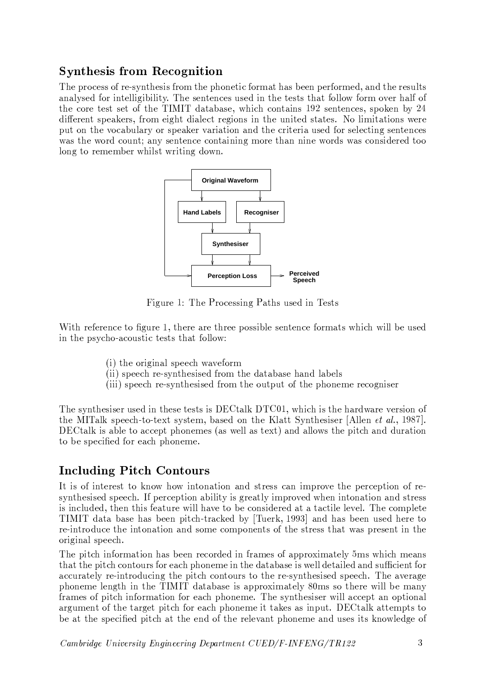# **Synthesis from Recognition**

The process of re-synthesis from the phonetic format has been performed, and the results analysed for intelligibility. The sentences used in the tests that follow form over half of the core test set of the TIMIT database, which contains 192 sentences, spoken by 24 different speakers, from eight dialect regions in the united states. No limitations were put on the vocabulary or speaker variation and the criteria used for selecting sentences was the word count; any sentence containing more than nine words was considered too long to remember whilst writing down.



Figure 1: The Processing Paths used in Tests

With reference to figure 1, there are three possible sentence formats which will be used in the psycho-acoustic tests that follow:

- (i) the original speech waveform
- (ii) speech re-synthesised from the database hand labels
- (iii) speech re-synthesised from the output of the phoneme recogniser

The synthesiser used in these tests is DECtalk DTC01, which is the hardware version of the MITalk speech-to-text system, based on the Klatt Synthesiser [Allen *et al.*, 1987]. DEC talk is able to accept phonemes (as well as text) and allows the pitch and duration to be specified for each phoneme.

# **Including Pitch Contours**

It is of interest to know how intonation and stress can improve the perception of resynthesised speech. If perception ability is greatly improved when intonation and stress is included, then this feature will have to be considered at a tactile level. The complete TIMIT data base has been pitch-tracked by [Tuerk, 1993] and has been used here to re-introduce the intonation and some components of the stress that was present in the original speech.

The pitch information has been recorded in frames of approximately 5ms which means that the pitch contours for each phoneme in the database is well detailed and sufficient for accurately re-introducing the pitch contours to the re-synthesised speech. The average phoneme length in the TIMIT database is approximately 80ms so there will be many frames of pitch information for each phoneme. The synthesiser will accept an optional argument of the target pitch for each phoneme it takes as input. DECtalk attempts to be at the specified pitch at the end of the relevant phoneme and uses its knowledge of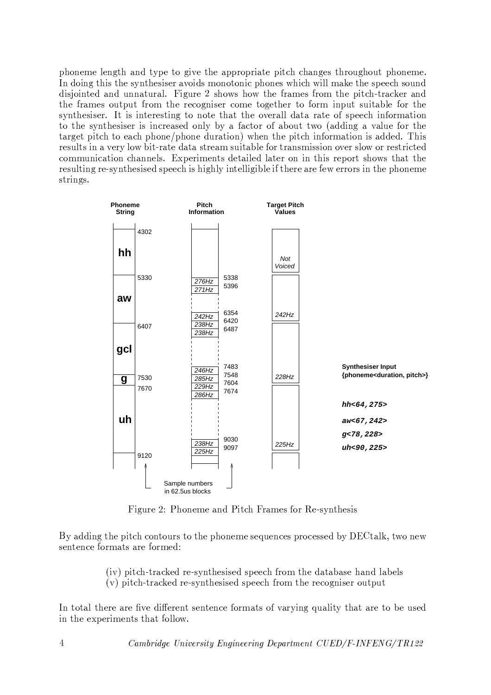phoneme length and type to give the appropriate pitch changes throughout phoneme. In doing this the synthesiser avoids monotonic phones which will make the speech sound disjointed and unnatural. Figure 2 shows how the frames from the pitch-tracker and the frames output from the recogniser come together to form input suitable for the synthesiser. It is interesting to note that the overall data rate of speech information to the synthesiser is increased only by a factor of about two (adding a value for the target pitch to each phone/phone duration) when the pitch information is added. This results in a very low bit-rate data stream suitable for transmission over slow or restricted communication channels. Experiments detailed later on in this report shows that the resulting re-synthesised speech is highly intelligible if there are few errors in the phoneme strings.



Figure 2: Phoneme and Pitch Frames for Re-synthesis

By adding the pitch contours to the phoneme sequences processed by DECtalk, two new sentence formats are formed:

- (iv) pitch-tracked re-synthesised speech from the database hand labels
- (v) pitch-tracked re-synthesised speech from the recogniser output

In total there are five different sentence formats of varying quality that are to be used in the experiments that follow.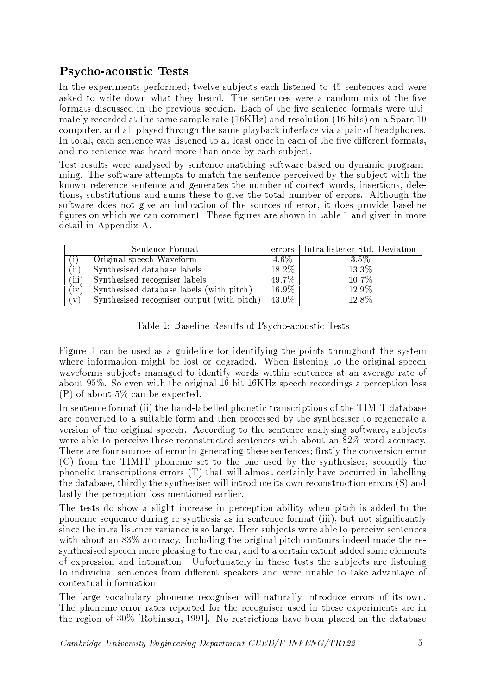# **Psycho-acoustic Tests**

In the experiments performed, twelve subjects each listened to 45 sentences and were asked to write down what they heard. The sentences were a random mix of the five formats discussed in the previous section. Each of the five sentence formats were ultimately recorded at the same sample rate  $(16KHz)$  and resolution  $(16 \text{ bits})$  on a Sparc 10 computer, and all played through the same playback interface via a pair of headphones. In total, each sentence was listened to at least once in each of the five different formats. and no sentence was heard more than once by each subject.

Test results were analysed by sentence matching software based on dynamic programming. The software attempts to match the sentence perceived by the subject with the known reference sentence and generates the number of correct words, insertions, deletions, substitutions and sums these to give the total number of errors. Although the software does not give an indication of the sources of error, it does provide baseline figures on which we can comment. These figures are shown in table 1 and given in more detail in Appendix A.

|            | Sentence Format                            | errors   | Intra-listener Std. Deviation |
|------------|--------------------------------------------|----------|-------------------------------|
|            | Original speech Waveform                   | $4.6\%$  | 3.5%                          |
| $\rm (ii)$ | Synthesised database labels                | 18.2%    | 13.3%                         |
| (iii)      | Synthesised recogniser labels              | $49.7\%$ | 10.7%                         |
| (iv)       | Synthesised database labels (with pitch)   | 16.9%    | 12.9%                         |
| V)         | Synthesised recogniser output (with pitch) | 43.0%    | 12.8%                         |

|  | Table 1: Baseline Results of Psycho-acoustic Tests |  |
|--|----------------------------------------------------|--|
|  |                                                    |  |

Figure 1 can be used as a guideline for identifying the points throughout the system where information might be lost or degraded. When listening to the original speech waveforms subjects managed to identify words within sentences at an average rate of about 95%. So even with the original 16-bit 16KHz speech recordings a perception loss  $(P)$  of about 5% can be expected.

In sentence format (ii) the hand-labelled phonetic transcriptions of the TIMIT database are converted to a suitable form and then processed by the synthesiser to regenerate a version of the original speech. According to the sentence analysing software, subjects were able to perceive these reconstructed sentences with about an 82% word accuracy. There are four sources of error in generating these sentences; firstly the conversion error (C) from the TIMIT phoneme set to the one used by the synthesiser, secondly the phonetic transcriptions errors (T) that will almost certainly have occurred in labelling the database, thirdly the synthesiser will introduce its own reconstruction errors (S) and lastly the perception loss mentioned earlier.

The tests do show a slight increase in perception ability when pitch is added to the phoneme sequence during re-synthesis as in sentence format (iii), but not significantly since the intra-listener variance is so large. Here subjects were able to perceive sentences with about an 83% accuracy. Including the original pitch contours indeed made the resynthesised speech more pleasing to the ear, and to a certain extent added some elements of expression and intonation. Unfortunately in these tests the subjects are listening to individual sentences from different speakers and were unable to take advantage of contextual information.

The large vocabulary phoneme recogniser will naturally introduce errors of its own. The phoneme error rates reported for the recogniser used in these experiments are in the region of 30% [Robinson, 1991]. No restrictions have been placed on the database

Cambridge University Engineering Department CUED/F-INFENG/TR122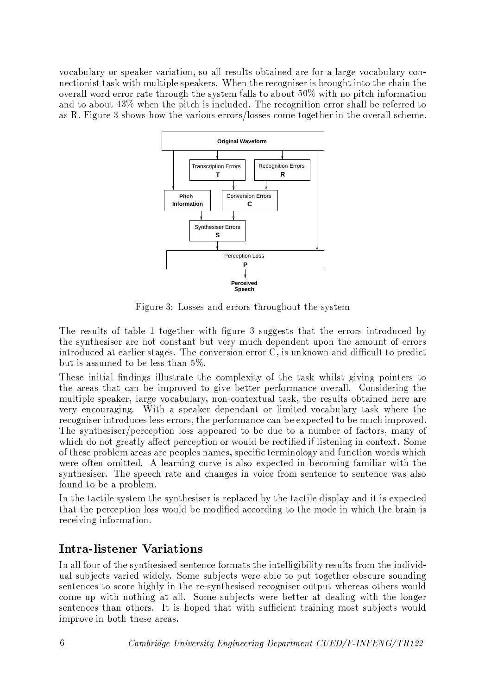vocabulary or speaker variation, so all results obtained are for a large vocabulary connection ist task with multiple speakers. When the recogniser is brought into the chain the overall word error rate through the system falls to about 50% with no pitch information and to about  $43\%$  when the pitch is included. The recognition error shall be referred to as R. Figure 3 shows how the various errors/losses come together in the overall scheme.



Figure 3: Losses and errors throughout the system

The results of table 1 together with figure 3 suggests that the errors introduced by the synthesiser are not constant but very much dependent upon the amount of errors introduced at earlier stages. The conversion error C, is unknown and difficult to predict but is assumed to be less than  $5\%$ .

These initial findings illustrate the complexity of the task whilst giving pointers to the areas that can be improved to give better performance overall. Considering the multiple speaker, large vocabulary, non-contextual task, the results obtained here are very encouraging. With a speaker dependant or limited vocabulary task where the recogniser introduces less errors, the performance can be expected to be much improved. The synthesiser/perception loss appeared to be due to a number of factors, many of which do not greatly affect perception or would be rectified if listening in context. Some of these problem areas are peoples names, specific terminology and function words which were often omitted. A learning curve is also expected in becoming familiar with the synthesiser. The speech rate and changes in voice from sentence to sentence was also found to be a problem.

In the tactile system the synthesiser is replaced by the tactile display and it is expected that the perception loss would be modified according to the mode in which the brain is receiving information.

### **Intra-listener Variations**

In all four of the synthesised sentence formats the intelligibility results from the individual subjects varied widely. Some subjects were able to put together obscure sounding sentences to score highly in the re-synthesised recogniser output whereas others would come up with nothing at all. Some subjects were better at dealing with the longer sentences than others. It is hoped that with sufficient training most subjects would improve in both these areas.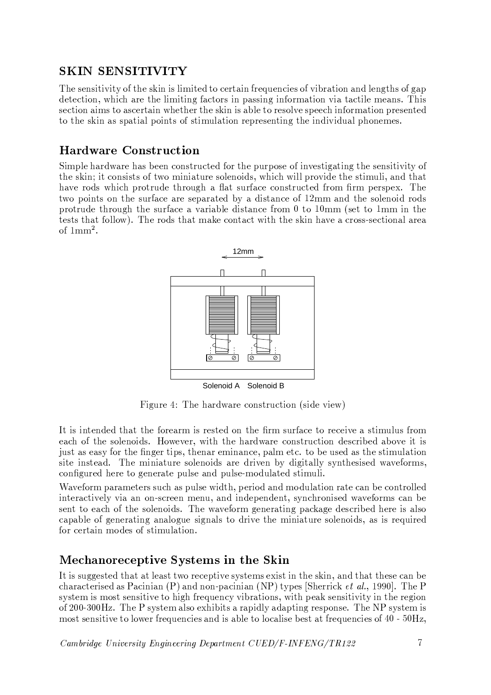## **SKIN SENSITIVITY**

The sensitivity of the skin is limited to certain frequencies of vibration and lengths of gap detection, which are the limiting factors in passing information via tactile means. This section aims to ascertain whether the skin is able to resolve speech information presented to the skin as spatial points of stimulation representing the individual phonemes.

## **Hardware Construction**

Simple hardware has been constructed for the purpose of investigating the sensitivity of the skin; it consists of two miniature solenoids, which will provide the stimuli, and that have rods which protrude through a flat surface constructed from firm perspex. The two points on the surface are separated by a distance of 12mm and the solenoid rods protrude through the surface a variable distance from 0 to 10mm (set to 1mm in the tests that follow). The rods that make contact with the skin have a cross-sectional area of  $1mm<sup>2</sup>$ .



Solenoid A Solenoid B

Figure 4: The hardware construction (side view)

It is intended that the forearm is rested on the firm surface to receive a stimulus from each of the solenoids. However, with the hardware construction described above it is just as easy for the finger tips, then are eminance, palmet c. to be used as the stimulation site instead. The miniature solenoids are driven by digitally synthesised waveforms, configured here to generate pulse and pulse-modulated stimuli.

Waveform parameters such as pulse width, period and modulation rate can be controlled interactively via an on-screen menu, and independent, synchronised waveforms can be sent to each of the solenoids. The waveform generating package described here is also capable of generating analogue signals to drive the miniature solenoids, as is required for certain modes of stimulation.

### Mechanoreceptive Systems in the Skin

It is suggested that at least two receptive systems exist in the skin, and that these can be characterised as Pacinian (P) and non-pacinian (NP) types [Sherrick *et al.*, 1990]. The P system is most sensitive to high frequency vibrations, with peak sensitivity in the region of 200-300Hz. The P system also exhibits a rapidly adapting response. The NP system is most sensitive to lower frequencies and is able to localise best at frequencies of  $40 - 50$ Hz,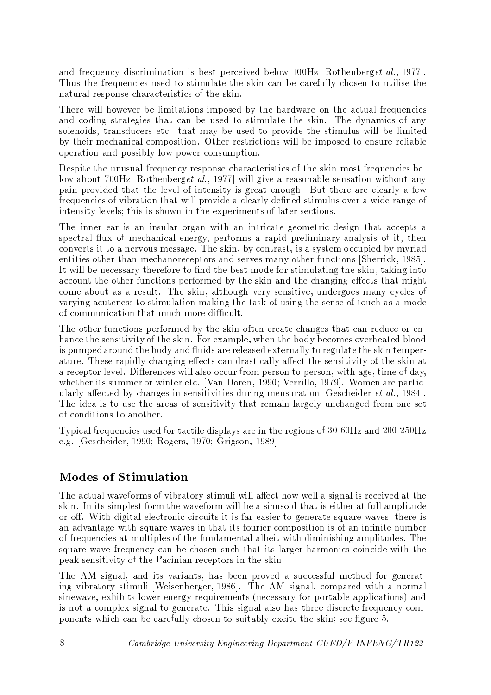and frequency discrimination is best perceived below 100Hz [Rothenberget al., 1977]. Thus the frequencies used to stimulate the skin can be carefully chosen to utilise the natural response characteristics of the skin.

There will however be limitations imposed by the hardware on the actual frequencies and coding strategies that can be used to stimulate the skin. The dynamics of any solenoids, transducers etc. that may be used to provide the stimulus will be limited by their mechanical composition. Other restrictions will be imposed to ensure reliable operation and possibly low power consumption.

Despite the unusual frequency response characteristics of the skin most frequencies below about 700Hz [Rothenberget al., 1977] will give a reasonable sensation without any pain provided that the level of intensity is great enough. But there are clearly a few frequencies of vibration that will provide a clearly defined stimulus over a wide range of intensity levels; this is shown in the experiments of later sections.

The inner ear is an insular organ with an intricate geometric design that accepts a spectral flux of mechanical energy, performs a rapid preliminary analysis of it, then converts it to a nervous message. The skin, by contrast, is a system occupied by myriad entities other than mechanoreceptors and serves many other functions [Sherrick, 1985]. It will be necessary therefore to find the best mode for stimulating the skin, taking into account the other functions performed by the skin and the changing effects that might come about as a result. The skin, although very sensitive, undergoes many cycles of varying acuteness to stimulation making the task of using the sense of touch as a mode of communication that much more difficult.

The other functions performed by the skin often create changes that can reduce or enhance the sensitivity of the skin. For example, when the body becomes overheated blood is pumped around the body and fluids are released externally to regulate the skin temperature. These rapidly changing effects can drastically affect the sensitivity of the skin at a receptor level. Differences will also occur from person to person, with age, time of day, whether its summer or winter etc. [Van Doren, 1990; Verrillo, 1979]. Women are particularly affected by changes in sensitivities during mensuration [Gescheider *et al.*, 1984]. The idea is to use the areas of sensitivity that remain largely unchanged from one set of conditions to another.

Typical frequencies used for tactile displays are in the regions of 30-60Hz and 200-250Hz e.g. [Gescheider, 1990; Rogers, 1970; Grigson, 1989]

### **Modes of Stimulation**

The actual waveforms of vibratory stimuli will affect how well a signal is received at the skin. In its simplest form the waveform will be a sinusoid that is either at full amplitude or off. With digital electronic circuits it is far easier to generate square waves; there is an advantage with square waves in that its fourier composition is of an infinite number of frequencies at multiples of the fundamental albeit with diminishing amplitudes. The square wave frequency can be chosen such that its larger harmonics coincide with the peak sensitivity of the Pacinian receptors in the skin.

The AM signal, and its variants, has been proved a successful method for generating vibratory stimuli [Weisenberger, 1986]. The AM signal, compared with a normal sinewave, exhibits lower energy requirements (necessary for portable applications) and is not a complex signal to generate. This signal also has three discrete frequency components which can be carefully chosen to suitably excite the skin; see figure 5.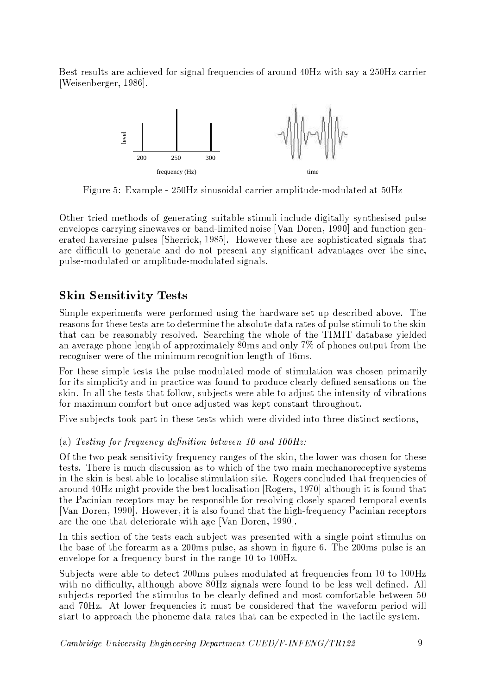Best results are achieved for signal frequencies of around 40Hz with say a 250Hz carrier [Weisenberger, 1986].



Figure 5: Example - 250Hz sinusoidal carrier amplitude-modulated at 50Hz

Other tried methods of generating suitable stimuli include digitally synthesised pulse envelopes carrying sinewaves or band-limited noise [Van Doren, 1990] and function generated haversine pulses [Sherrick, 1985]. However these are sophisticated signals that are difficult to generate and do not present any significant advantages over the sine, pulse-modulated or amplitude-modulated signals.

### **Skin Sensitivity Tests**

Simple experiments were performed using the hardware set up described above. The reasons for these tests are to determine the absolute data rates of pulse stimuli to the skin that can be reasonably resolved. Searching the whole of the TIMIT database yielded an average phone length of approximately 80ms and only 7% of phones output from the recogniser were of the minimum recognition length of 16ms.

For these simple tests the pulse modulated mode of stimulation was chosen primarily for its simplicity and in practice was found to produce clearly defined sensations on the skin. In all the tests that follow, subjects were able to adjust the intensity of vibrations for maximum comfort but once adjusted was kept constant throughout.

Five subjects took part in these tests which were divided into three distinct sections,

#### (a) Testing for frequency definition between 10 and 100Hz:

Of the two peak sensitivity frequency ranges of the skin, the lower was chosen for these tests. There is much discussion as to which of the two main mechanoreceptive systems in the skin is best able to localise stimulation site. Rogers concluded that frequencies of around 40Hz might provide the best localisation [Rogers, 1970] although it is found that the Pacinian receptors may be responsible for resolving closely spaced temporal events [Van Doren, 1990]. However, it is also found that the high-frequency Pacinian receptors are the one that deteriorate with age [Van Doren, 1990].

In this section of the tests each subject was presented with a single point stimulus on the base of the forearm as a 200ms pulse, as shown in figure 6. The 200ms pulse is an envelope for a frequency burst in the range 10 to 100Hz.

Subjects were able to detect 200ms pulses modulated at frequencies from 10 to 100Hz with no difficulty, although above 80Hz signals were found to be less well defined. All subjects reported the stimulus to be clearly defined and most comfortable between 50 and 70Hz. At lower frequencies it must be considered that the waveform period will start to approach the phoneme data rates that can be expected in the tactile system.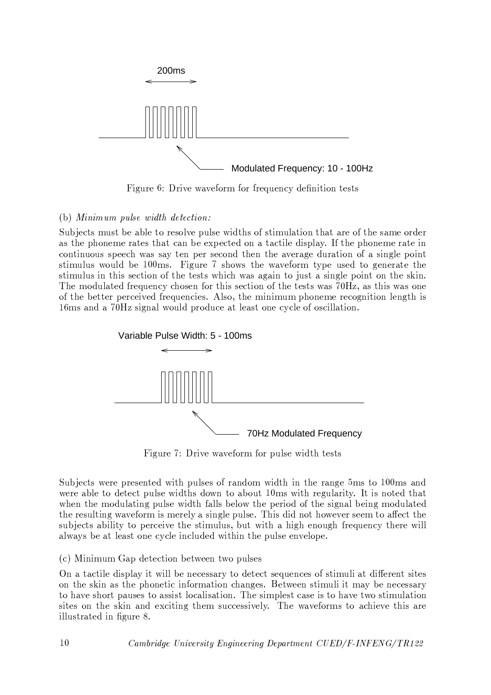

Figure 6: Drive waveform for frequency definition tests

### (b) Minimum pulse width detection:

Subjects must be able to resolve pulse widths of stimulation that are of the same order as the phoneme rates that can be expected on a tactile display. If the phoneme rate in continuous speech was say ten per second then the average duration of a single point stimulus would be 100ms. Figure 7 shows the waveform type used to generate the stimulus in this section of the tests which was again to just a single point on the skin. The modulated frequency chosen for this section of the tests was 70Hz, as this was one of the better perceived frequencies. Also, the minimum phoneme recognition length is 16ms and a 70Hz signal would produce at least one cycle of oscillation.



Figure 7: Drive waveform for pulse width tests

Subjects were presented with pulses of random width in the range 5ms to 100ms and were able to detect pulse widths down to about 10ms with regularity. It is noted that when the modulating pulse width falls below the period of the signal being modulated the resulting waveform is merely a single pulse. This did not however seem to affect the subjects ability to perceive the stimulus, but with a high enough frequency there will always be at least one cycle included within the pulse envelope.

#### (c) Minimum Gap detection between two pulses

On a tactile display it will be necessary to detect sequences of stimuli at different sites on the skin as the phonetic information changes. Between stimuli it may be necessary to have short pauses to assist localisation. The simplest case is to have two stimulation sites on the skin and exciting them successively. The waveforms to achieve this are illustrated in figure 8.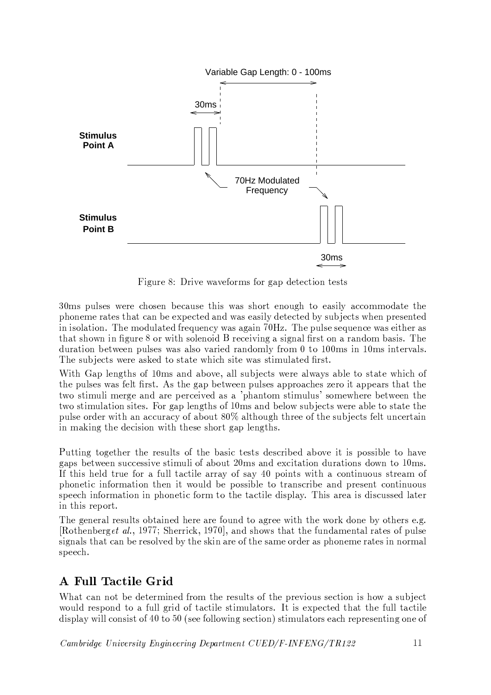

Figure 8: Drive waveforms for gap detection tests

30ms pulses were chosen because this was short enough to easily accommodate the phoneme rates that can be expected and was easily detected by subjects when presented in isolation. The modulated frequency was again 70Hz. The pulse sequence was either as that shown in figure 8 or with solenoid B receiving a signal first on a random basis. The duration between pulses was also varied randomly from  $0$  to  $100\text{ms}$  in  $10\text{ms}$  intervals. The subjects were asked to state which site was stimulated first.

With Gap lengths of 10ms and above, all subjects were always able to state which of the pulses was felt first. As the gap between pulses approaches zero it appears that the two stimuli merge and are perceived as a 'phantom stimulus' somewhere between the two stimulation sites. For gap lengths of 10ms and below subjects were able to state the pulse order with an accuracy of about 80% although three of the subjects felt uncertain in making the decision with these short gap lengths.

Putting together the results of the basic tests described above it is possible to have gaps between successive stimuli of about 20ms and excitation durations down to 10ms. If this held true for a full tactile array of say 40 points with a continuous stream of phonetic information then it would be possible to transcribe and present continuous speech information in phonetic form to the tactile display. This area is discussed later in this report.

The general results obtained here are found to agree with the work done by others e.g. [Rothenberget al., 1977; Sherrick, 1970], and shows that the fundamental rates of pulse signals that can be resolved by the skin are of the same order as phoneme rates in normal speech.

# A Full Tactile Grid

What can not be determined from the results of the previous section is how a subject would respond to a full grid of tactile stimulators. It is expected that the full tactile display will consist of 40 to 50 (see following section) stimulators each representing one of

Cambridge University Engineering Department CUED/F-INFENG/TR122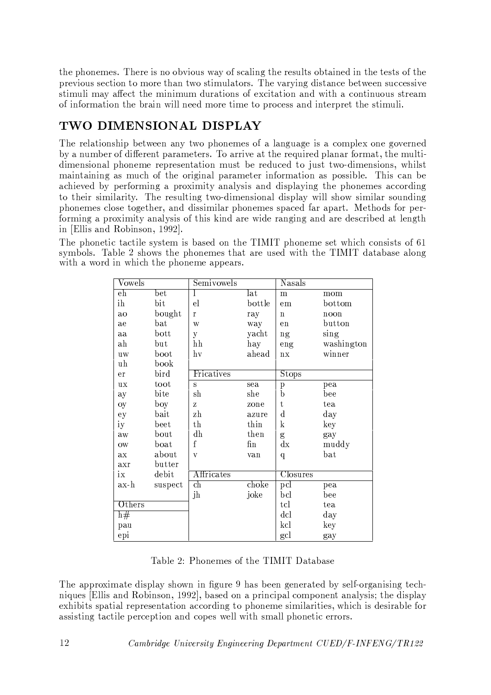the phonemes. There is no obvious way of scaling the results obtained in the tests of the previous section to more than two stimulators. The varying distance between successive stimuli may affect the minimum durations of excitation and with a continuous stream of information the brain will need more time to process and interpret the stimuli.

# TWO DIMENSIONAL DISPLAY

The relationship between any two phonemes of a language is a complex one governed by a number of different parameters. To arrive at the required planar format, the multidimensional phoneme representation must be reduced to just two-dimensions, whilst maintaining as much of the original parameter information as possible. This can be achieved by performing a proximity analysis and displaying the phonemes according to their similarity. The resulting two-dimensional display will show similar sounding phonemes close together, and dissimilar phonemes spaced far apart. Methods for performing a proximity analysis of this kind are wide ranging and are described at length in [Ellis and Robinson, 1992].

The phonetic tactile system is based on the TIMIT phoneme set which consists of 61 symbols. Table 2 shows the phonemes that are used with the TIMIT database along with a word in which the phoneme appears.

| $\mathrm{Vowels}$ |                  | Semivowels   |                     | Nasals          |            |
|-------------------|------------------|--------------|---------------------|-----------------|------------|
| $_{\rm eh}$       | $_{\rm bet}$     | L            | lat                 | m               | mom        |
| ih                | bit              | $_{\rm el}$  | bottle              | em              | bottom     |
| ao                | bought           | $\mathbf{r}$ | ray                 | $\mathbf n$     | noon       |
| ae                | $_{\rm bat}$     | W            | way                 | $_{\rm en}$     | button     |
| aa                | $_{\rm{bott}}$   | y            | yacht               | ng              | sing       |
| $_{\rm ah}$       | but              | hh           | hay                 | eng             | washington |
| $u$ w             | boot             | hv           | ahead               | n x             | winner     |
| uh                | book             |              |                     |                 |            |
| er                | bird             | Fricatives   |                     | $_{\rm{Stops}}$ |            |
| ux                | toot             | S            | sea                 | $\, {\bf p}$    | pea        |
| ay                | bite             | $\sh$        | she                 | $\mathbf b$     | bee        |
| oy                | boy              | Z            | zone                | t               | tea        |
| ey                | bait             | zh           | azure               | $\rm d$         | day        |
| iу                | beet             | th           | thin                | $\mathbf{k}$    | key        |
| aw                | bout             | dh           | then                | $\mathbf{g}$    | gay        |
| $_{\text{OW}}$    | $_{\text{boat}}$ | $\mathbf f$  | $\operatorname{fn}$ | dx              | muddy      |
| ax                | about            | V            | van                 | q               | bat        |
| axr               | butter           |              |                     |                 |            |
| ix                | debit            | Affricates   |                     | Closures        |            |
| ax-h              | suspect          | ch           | choke               | pcl             | pea        |
|                   |                  | jh           | joke                | bcl             | bee        |
| Others            |                  |              |                     | tcl             | tea        |
| h#                |                  |              |                     | dcl             | day        |
| pau               |                  |              |                     | kcl             | key        |
| epi               |                  |              |                     | gcl             | gay        |

Table 2: Phonemes of the TIMIT Database

The approximate display shown in figure 9 has been generated by self-organising techniques [Ellis and Robinson, 1992], based on a principal component analysis; the display exhibits spatial representation according to phoneme similarities, which is desirable for assisting tactile perception and copes well with small phonetic errors.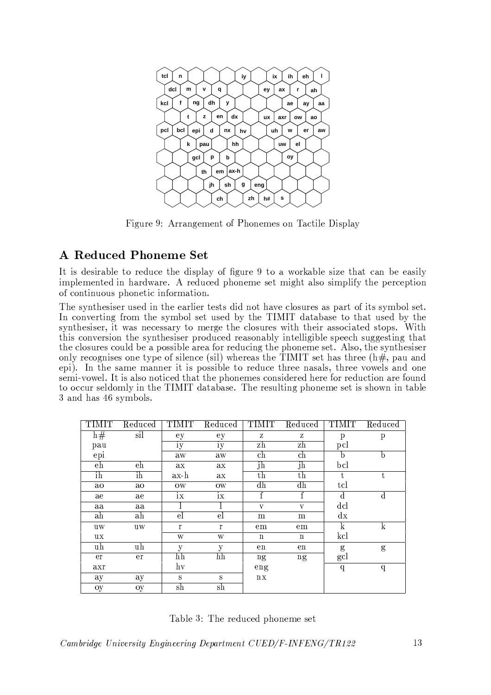

Figure 9: Arrangement of Phonemes on Tactile Display

### **A Reduced Phoneme Set**

It is desirable to reduce the display of figure 9 to a workable size that can be easily implemented in hardware. A reduced phoneme set might also simplify the perception of continuous phonetic information.

The synthesiser used in the earlier tests did not have closures as part of its symbol set. In converting from the symbol set used by the TIMIT database to that used by the synthesiser, it was necessary to merge the closures with their associated stops. With this conversion the synthesiser produced reasonably intelligible speech suggesting that the closures could be a possible area for reducing the phoneme set. Also, the synthesiser only recognises one type of silence (sil) whereas the TIMIT set has three  $(h\ddot{H})$ , pau and epi). In the same manner it is possible to reduce three nasals, three vowels and one semi-vowel. It is also noticed that the phonemes considered here for reduction are found to occur seldomly in the TIMIT database. The resulting phoneme set is shown in table 3 and has 46 symbols.

| TIMIT          | Reduced        | <b>TIMIT</b> | Reduced   | <b>TIMIT</b> | Reduced     | TIMIT        | $\overline{\text{Reduced}}$ |
|----------------|----------------|--------------|-----------|--------------|-------------|--------------|-----------------------------|
| h#             | sil            | ey           | еy        | Z            | Z           | p            | $\boldsymbol{\mathrm{p}}$   |
| pau            |                | iy           | iy        | zh           | zh          | pcl          |                             |
| epi            |                | aw           | aw        | ch           | ch          | $\mathsf{D}$ | b                           |
| eh             | eh             | ax           | aх        | jh           | jh          | bcl          |                             |
| i <sub>h</sub> | i <sub>h</sub> | $ax-h$       | aх        | th           | $_{\rm th}$ | t            | t                           |
| ao             | ao             | ow           | <b>OW</b> | dh           | dh          | tcl          |                             |
| ae             | ae             | ix           | ix        | $\mathbf f$  | $\mathbf f$ | $\mathbf d$  | $\mathbf d$                 |
| aa             | aa             |              |           | V            | V           | dcl          |                             |
| ah             | ah             | el           | el        | m            | m           | dx           |                             |
| uw             | uw             | $\Gamma$     | $\Gamma$  | em           | em          | k            | k                           |
| ux             |                | W            | W         | $\mathbf n$  | $\mathbf n$ | kcl          |                             |
| uh             | uh             | y            | у         | en           | en          | g            | g                           |
| er             | er             | hh           | hh        | ng           | ng          | gcl          |                             |
| axr            |                | hv           |           | eng          |             | $\mathbf q$  | $\boldsymbol{q}$            |
| ay             | ay             | S            | S         | $\rm{nx}$    |             |              |                             |
| oy             | oy             | sh           | sh        |              |             |              |                             |

Table 3: The reduced phoneme set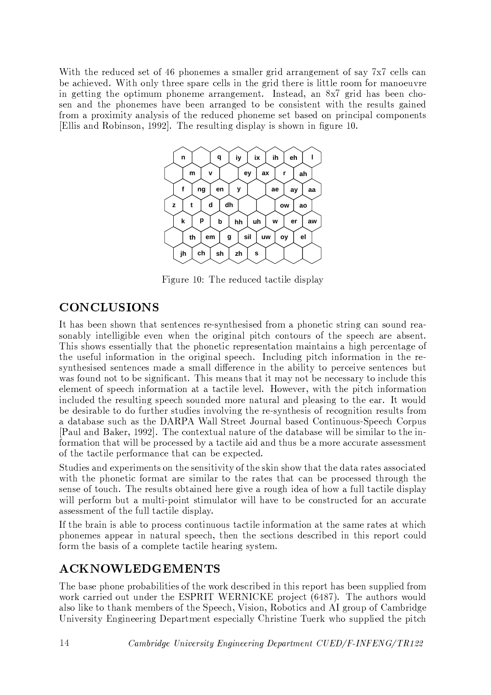With the reduced set of 46 phonemes a smaller grid arrangement of say 7x7 cells can be achieved. With only three spare cells in the grid there is little room for manoeuvre in getting the optimum phoneme arrangement. Instead, an 8x7 grid has been chosen and the phonemes have been arranged to be consistent with the results gained from a proximity analysis of the reduced phoneme set based on principal components [Ellis and Robinson, 1992]. The resulting display is shown in figure 10.



Figure 10: The reduced tactile display

### **CONCLUSIONS**

It has been shown that sentences re-synthesised from a phonetic string can sound reasonably intelligible even when the original pitch contours of the speech are absent. This shows essentially that the phonetic representation maintains a high percentage of the useful information in the original speech. Including pitch information in the resynthesised sentences made a small difference in the ability to perceive sentences but was found not to be significant. This means that it may not be necessary to include this element of speech information at a tactile level. However, with the pitch information included the resulting speech sounded more natural and pleasing to the ear. It would be desirable to do further studies involving the re-synthesis of recognition results from a database such as the DARPA Wall Street Journal based Continuous-Speech Corpus [Paul and Baker, 1992]. The contextual nature of the database will be similar to the information that will be processed by a tactile aid and thus be a more accurate assessment of the tactile performance that can be expected.

Studies and experiments on the sensitivity of the skin show that the data rates associated with the phonetic format are similar to the rates that can be processed through the sense of touch. The results obtained here give a rough idea of how a full tactile display will perform but a multi-point stimulator will have to be constructed for an accurate assessment of the full tactile display.

If the brain is able to process continuous tactile information at the same rates at which phonemes appear in natural speech, then the sections described in this report could form the basis of a complete tactile hearing system.

### **ACKNOWLEDGEMENTS**

The base phone probabilities of the work described in this report has been supplied from work carried out under the ESPRIT WERNICKE project (6487). The authors would also like to thank members of the Speech, Vision, Robotics and AI group of Cambridge University Engineering Department especially Christine Tuerk who supplied the pitch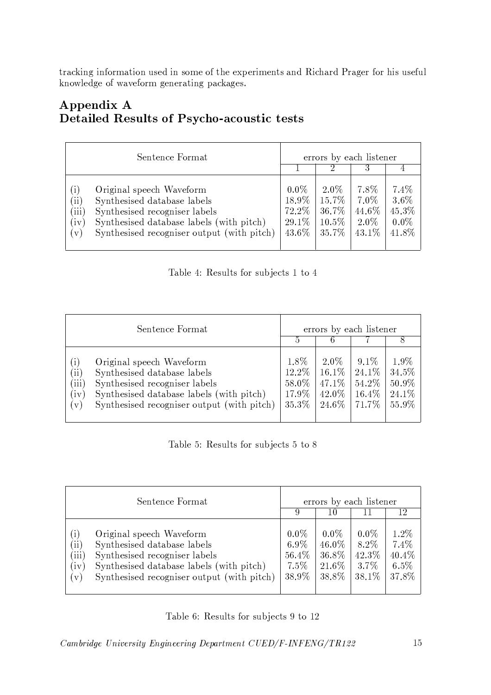tracking information used in some of the experiments and Richard Prager for his useful knowledge of waveform generating packages.

### Appendix A **Detailed Results of Psycho-acoustic tests**

| Sentence Format                                                                                                                                                                                                                                                |                                               | errors by each listener                  |                                           |                                           |  |
|----------------------------------------------------------------------------------------------------------------------------------------------------------------------------------------------------------------------------------------------------------------|-----------------------------------------------|------------------------------------------|-------------------------------------------|-------------------------------------------|--|
|                                                                                                                                                                                                                                                                |                                               |                                          |                                           |                                           |  |
| Original speech Waveform<br>$\left(1\right)$<br>$\hat{11})$<br>Synthesised database labels<br>Synthesised recogniser labels<br>$\overleftrightarrow{iii}$<br>Synthesised database labels (with pitch)<br>iv<br>Synthesised recogniser output (with pitch)<br>V | $0.0\%$<br>18.9%<br>72.2\%<br>29.1\%<br>43.6% | 2.0%<br>15.7%<br>36.7%<br>10.5%<br>35.7% | 7.8%<br>$7.0\%$<br>44.6%<br>2.0%<br>43.1% | 7.4%<br>3.6%<br>45.3%<br>$0.0\%$<br>41.8% |  |

Table 4: Results for subjects 1 to 4

| Sentence Format                                                                                                                                                                                                                                                   |                                              | errors by each listener                      |                                              |                                          |  |  |
|-------------------------------------------------------------------------------------------------------------------------------------------------------------------------------------------------------------------------------------------------------------------|----------------------------------------------|----------------------------------------------|----------------------------------------------|------------------------------------------|--|--|
|                                                                                                                                                                                                                                                                   | $\mathfrak h$                                | 6                                            |                                              |                                          |  |  |
| Original speech Waveform<br>$\left(1\right)$<br>$\hat{11})$<br>Synthesised database labels<br>$\overleftrightarrow{111}$<br>Synthesised recogniser labels<br>Synthesised database labels (with pitch)<br>(iv)<br>Synthesised recogniser output (with pitch)<br>V) | 1.8%<br>12.2\%<br>58.0%<br>17.9%<br>$35.3\%$ | 2.0%<br>$16.1\%$<br>47.1\%<br>42.0%<br>24.6% | $9.1\%$<br>24.1\%<br>54.2%<br>16.4%<br>71.7% | 1.9%<br>34.5%<br>50.9%<br>24.1%<br>55.9% |  |  |

|  |  |  | Table 5: Results for subjects 5 to 8 |  |  |  |
|--|--|--|--------------------------------------|--|--|--|
|--|--|--|--------------------------------------|--|--|--|

| Sentence Format                                                                                                                                                                                                                                                                   | errors by each listener                   |                                             |                                              |                                           |
|-----------------------------------------------------------------------------------------------------------------------------------------------------------------------------------------------------------------------------------------------------------------------------------|-------------------------------------------|---------------------------------------------|----------------------------------------------|-------------------------------------------|
|                                                                                                                                                                                                                                                                                   | 9                                         | 10                                          |                                              |                                           |
| Original speech Waveform<br>$\left( 1\right)$<br>$\left( \text{ii} \right)$<br>Synthesised database labels<br>(iii)<br>Synthesised recogniser labels<br>Synthesised database labels (with pitch)<br>$\left(\mathrm{iv}\right)$<br>Synthesised recogniser output (with pitch)<br>V | $0.0\%$<br>6.9%<br>56.4%<br>7.5%<br>38.9% | $0.0\%$<br>46.0%<br>36.8%<br>21.6%<br>38.8% | $0.0\%$<br>$8.2\%$<br>42.3%<br>3.7%<br>38.1% | 1.2%<br>7.4%<br>40.4%<br>$6.5\%$<br>37.8% |

Table 6: Results for subjects 9 to 12

Cambridge University Engineering Department CUED/F-INFENG/TR122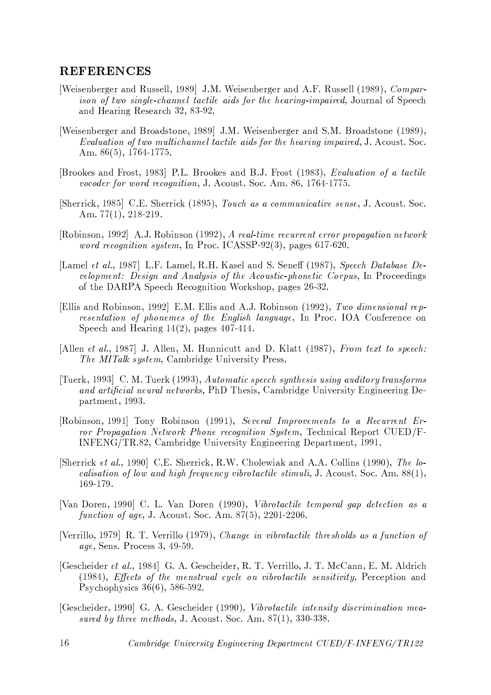#### **REFERENCES**

- [Weisenberger and Russell, 1989] J.M. Weisenberger and A.F. Russell (1989), *Compar*ison of two single-channel tactile aids for the hearing-impaired, Journal of Speech and Hearing Research 32, 83-92.
- [Weisenberger and Broadstone, 1989] J.M. Weisenberger and S.M. Broadstone (1989), Evaluation of two multichannel tactile aids for the hearing impaired, J. Acoust. Soc. Am.  $86(5)$ , 1764-1775.
- [Brookes and Frost, 1983] P.L. Brookes and B.J. Frost (1983), Evaluation of a tactile vocoder for word recognition, J. Acoust. Soc. Am. 86, 1764-1775.
- [Sherrick, 1985] C.E. Sherrick (1895), Touch as a communicative sense, J. Acoust. Soc. Am.  $77(1)$ ,  $218-219$ .
- [Robinson, 1992] A.J. Robinson (1992), A real-time recurrent error propagation network word recognition system, In Proc. ICASSP-92(3), pages 617-620.
- [Lamel et al., 1987] L.F. Lamel, R.H. Kasel and S. Seneff (1987), Speech Database Development: Design and Analysis of the Acoustic-phonetic Corpus, In Proceedings of the DARPA Speech Recognition Workshop, pages 26-32.
- [Ellis and Robinson, 1992] E.M. Ellis and A.J. Robinson (1992), Two dimensional representation of phonemes of the English language, In Proc. IOA Conference on Speech and Hearing  $14(2)$ , pages  $407-414$ .
- [Allen et al., 1987] J. Allen, M. Hunnicutt and D. Klatt (1987), From text to speech: The MITalk system, Cambridge University Press.
- [Tuerk, 1993] C. M. Tuerk (1993), Automatic speech synthesis using auditory transforms and artificial neural networks, PhD Thesis, Cambridge University Engineering Department, 1993.
- [Robinson, 1991] Tony Robinson (1991), Several Improvements to a Recurrent Error Propagation Network Phone recognition System, Technical Report CUED/F-INFENG/TR.82, Cambridge University Engineering Department, 1991.
- [Sherrick et al., 1990] C.E. Sherrick, R.W. Cholewiak and A.A. Collins (1990), The localisation of low and high frequency vibrotactile stimuli, J. Acoust. Soc. Am.  $88(1)$ , 169-179.
- [Van Doren, 1990] C. L. Van Doren (1990), Vibrotactile temporal gap detection as a function of age, J. Acoust. Soc. Am.  $87(5)$ , 2201-2206.
- [Verrillo, 1979] R. T. Verrillo (1979), Change in vibrotactile thresholds as a function of *age*, Sens. Process 3, 49-59.
- [Gescheider et al., 1984] G. A. Gescheider, R. T. Verrillo, J. T. McCann, E. M. Aldrich (1984), Effects of the menstrual cycle on vibrotactile sensitivity, Perception and Psychophysics  $36(6)$ , 586-592.
- [Gescheider, 1990] G. A. Gescheider (1990), Vibrotactile intensity discrimination measured by three methods, J. Acoust. Soc. Am.  $87(1)$ , 330-338.